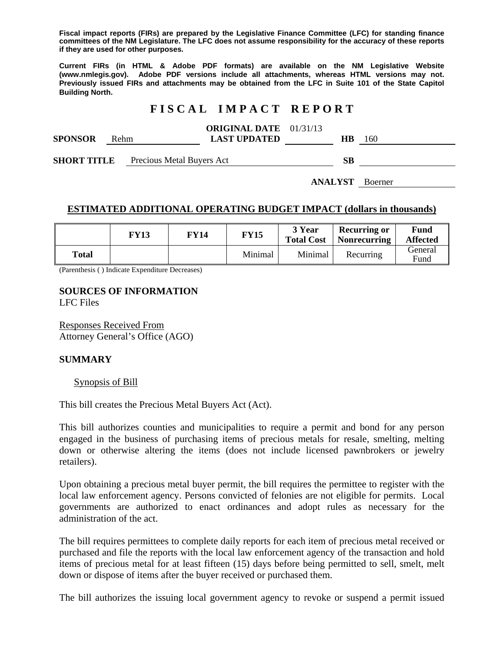**Fiscal impact reports (FIRs) are prepared by the Legislative Finance Committee (LFC) for standing finance committees of the NM Legislature. The LFC does not assume responsibility for the accuracy of these reports if they are used for other purposes.** 

**Current FIRs (in HTML & Adobe PDF formats) are available on the NM Legislative Website (www.nmlegis.gov). Adobe PDF versions include all attachments, whereas HTML versions may not. Previously issued FIRs and attachments may be obtained from the LFC in Suite 101 of the State Capitol Building North.**

# **F I S C A L I M P A C T R E P O R T**

|                |      | <b>ORIGINAL DATE</b> 01/31/13 |    |     |
|----------------|------|-------------------------------|----|-----|
| <b>SPONSOR</b> | Rehm | <b>LAST UPDATED</b>           | HВ | 160 |
|                |      |                               |    |     |

**SHORT TITLE** Precious Metal Buyers Act **SB** 

**ANALYST** Boerner

## **ESTIMATED ADDITIONAL OPERATING BUDGET IMPACT (dollars in thousands)**

|       | <b>FY13</b> | FY14 | <b>FY15</b> | 3 Year<br><b>Total Cost</b> | <b>Recurring or</b><br>Nonrecurring | Fund<br><b>Affected</b> |
|-------|-------------|------|-------------|-----------------------------|-------------------------------------|-------------------------|
| Total |             |      | Minimal     | Minimal                     | Recurring                           | General<br>Fund         |

(Parenthesis ( ) Indicate Expenditure Decreases)

# **SOURCES OF INFORMATION**

LFC Files

Responses Received From Attorney General's Office (AGO)

#### **SUMMARY**

#### Synopsis of Bill

This bill creates the Precious Metal Buyers Act (Act).

This bill authorizes counties and municipalities to require a permit and bond for any person engaged in the business of purchasing items of precious metals for resale, smelting, melting down or otherwise altering the items (does not include licensed pawnbrokers or jewelry retailers).

Upon obtaining a precious metal buyer permit, the bill requires the permittee to register with the local law enforcement agency. Persons convicted of felonies are not eligible for permits. Local governments are authorized to enact ordinances and adopt rules as necessary for the administration of the act.

The bill requires permittees to complete daily reports for each item of precious metal received or purchased and file the reports with the local law enforcement agency of the transaction and hold items of precious metal for at least fifteen (15) days before being permitted to sell, smelt, melt down or dispose of items after the buyer received or purchased them.

The bill authorizes the issuing local government agency to revoke or suspend a permit issued